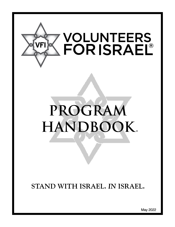

# **PROGRAM HANDBOOK**®

**STAND WITH ISRAEL.** *IN* **ISRAEL.**

May 202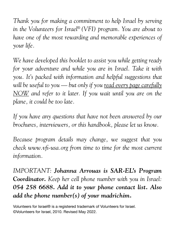*Thank you for making a commitment to help Israel by serving in the Volunteers for Israel® (VFI) program. You are about to have one of the most rewarding and memorable experiences of your life.* 

*We have developed this booklet to assist you while getting ready for your adventure and while you are in Israel. Take it with you. It's packed with information and helpful suggestions that will be useful to you — but only if you read every page carefully NOW and refer to it later. If you wait until you are on the plane, it could be too late.*

*If you have any questions that have not been answered by our brochures, interviewers, or this handbook, please let us know.*

*Because program details may change, we suggest that you check www.vfi-usa.org from time to time for the most current information.*

*IMPORTANT: Johanna Arrouas is SAR-EL's Program Coordinator. Keep her cell phone number with you in Israel: 054 258 6688. Add it to your phone contact list. Also add the phone number(s) of your madrichim.*

Volunteers for Israel® is a registered trademark of Volunteers for Israel. ©Volunteers for Israel, 2010. Revised May 2022.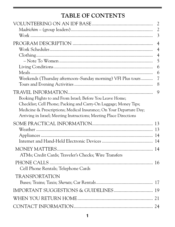# **TABLE OF CONTENTS**

|                                                                                                                                                                                                               | $\overline{2}$      |
|---------------------------------------------------------------------------------------------------------------------------------------------------------------------------------------------------------------|---------------------|
|                                                                                                                                                                                                               | $\overline{2}$      |
|                                                                                                                                                                                                               | 3                   |
|                                                                                                                                                                                                               | $\overline{4}$      |
|                                                                                                                                                                                                               | $\overline{4}$      |
|                                                                                                                                                                                                               | $\overline{4}$<br>5 |
|                                                                                                                                                                                                               | 6                   |
|                                                                                                                                                                                                               | 6                   |
| Weekends (Thursday afternoon-Sunday morning) VFI Plus tours                                                                                                                                                   | $\overline{7}$<br>8 |
| Booking Flights to and From Israel; Before You Leave Home;                                                                                                                                                    | 9                   |
| Checklist; Cell Phone; Packing and Carry-On Luggage; Money Tips;<br>Medicine & Prescriptions; Medical Insurance; On Your Departure Day;<br>Arriving in Israel; Meeting Instructions; Meeting Place Directions |                     |
|                                                                                                                                                                                                               |                     |
|                                                                                                                                                                                                               |                     |
|                                                                                                                                                                                                               |                     |
|                                                                                                                                                                                                               |                     |
| ATMs; Credit Cards; Traveler's Checks; Wire Transfers                                                                                                                                                         |                     |
| Cell Phone Rentals; Telephone Cards                                                                                                                                                                           |                     |
| <b>TRANSPORTATION</b>                                                                                                                                                                                         |                     |
| IMPORTANT SUGGESTIONS & GUIDELINES 19                                                                                                                                                                         |                     |
|                                                                                                                                                                                                               |                     |
|                                                                                                                                                                                                               |                     |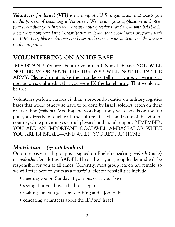*Volunteers for Israel (VFI) is the nonprofit U.S. organization that assists you in the process of becoming a Volunteer. We review your application and other forms, conduct your interview, answer your questions, and work with SAR-EL, a separate nonprofit Israeli organization in Israel that coordinates programs with the IDF. They place volunteers on bases and oversee your activities while you are on the program.*

# **VOLUNTEERING ON AN IDF BASE**

**IMPORTANT:** You are about to volunteer **ON** an IDF base. **YOU WILL NOT BE** *IN* **OR** *WITH* **THE IDF. YOU WILL NOT BE** *IN* **THE ARMY**. Please do not make the mistake of telling anyone, or writing or posting on social media, that you were **IN** the Israeli army. That would not be true.

Volunteers perform various civilian, non-combat duties on military logistics bases that would otherwise have to be done by Israeli soldiers, often on their reserve time (*miluim*). Meeting and working closely with Israelis on the job puts you directly in touch with the culture, lifestyle, and pulse of this vibrant country, while providing essential physical and moral support. REMEMBER, YOU ARE AN IMPORTANT GOODWILL AMBASSADOR WHILE YOU ARE IN ISRAEL—AND WHEN YOU RETURN HOME.

# *Madrichim – (group leaders)*

On army bases, each group is assigned an English-speaking *madrich* (male) or *madricha* (female) by SAR-EL. He or she is your group leader and will be responsible for you at all times. Currently, most group leaders are female, so we will refer here to yours as a *madricha*. Her responsibilities include

- meeting you on Sunday at your bus or at your base
- seeing that you have a bed to sleep in
- making sure you get work clothing and a job to do
- educating volunteers about the IDF and Israel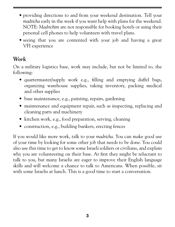- providing directions to and from your weekend destination. Tell your *madricha* early in the week if you want help with plans for the weekend. NOTE: *Madrichim* are not responsible for booking hotels or using their personal cell phones to help volunteers with travel plans.
- seeing that you are contented with your job and having a great VFI experience

## *Work*

On a military logistics base, work may include, but not be limited to, the following:

- quartermaster/supply work e.g., filling and emptying duffel bags, organizing warehouse supplies, taking inventory, packing medical and other supplies
- base maintenance, e.g., painting, repairs, gardening
- maintenance and equipment repair, such as inspecting, replacing and cleaning parts and machinery
- kitchen work, e.g., food preparation, serving, cleaning
- construction, e.g., building bunkers, erecting fences

If you would like more work, talk to your *madricha*. You can make good use of your time by looking for some other job that needs to be done. You could also use this time to get to know some Israeli soldiers or civilians, and explain why you are volunteering on their base. At first they might be reluctant to talk to you, but many Israelis are eager to improve their English language skills and will welcome a chance to talk to Americans. When possible, sit with some Israelis at lunch. This is a good time to start a conversation.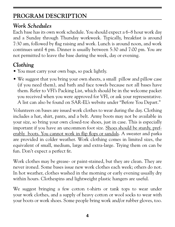# **PROGRAM DESCRIPTION**

## *Work Schedules*

Each base has its own work schedule. You should expect a 6–8 hour work day and a Sunday through Thursday workweek. Typically, breakfast is around 7:30 am, followed by flag raising and work. Lunch is around noon, and work continues until 4 pm. Dinner is usually between 5:30 and 7:00 pm. You are not permitted to leave the base during the week, day or evening.

# *Clothing*

- You must carry your own bags, so pack lightly.
- We suggest that you bring your own sheets, a small pillow and pillow case (if you need them), and bath and face towels because not all bases have them. Refer to VFI's Packing List, which should be in the welcome packet you received when you were approved for VFI, or ask your representative. A list can also be found on SAR-EL's website under "Before You Depart."

Volunteers on bases are issued work clothes to wear during the day. Clothing includes a hat, shirt, pants, and a belt. Army boots may not be available in your size, so bring your own closed-toe shoes, just in case. This is especially important if you have an uncommon foot size. Shoes should be sturdy, preferably boots. You cannot work in flip flops or sandals. A sweater and parka are provided in colder weather. Work clothing comes in limited sizes, the equivalent of small, medium, large and extra-large. Trying them on can be fun. Don't expect a perfect fit.

Work clothes may be grease- or paint-stained, but they are clean. They are never ironed. Some bases issue new work clothes each week; others do not. In hot weather, clothes washed in the morning or early evening usually dry within hours. Clothespins and lightweight plastic hangers are useful.

We suggest bringing a few cotton t-shirts or tank tops to wear under your work clothes, and a supply of heavy cotton or wool socks to wear with your boots or work shoes. Some people bring work and/or rubber gloves, too.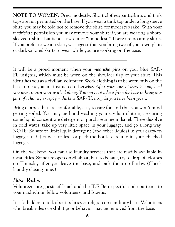**NOTE TO WOMEN**: Dress modestly. Short clothes/pants/skirts and tank tops are not permitted on the base. If you wear a tank top under a long sleeve shirt, you may be told not to remove the shirt, for modesty's sake. With your *madricha's* permission you may remove your shirt if you are wearing a shortsleeved t-shirt that is not low-cut or "immodest." There are no army skirts. If you prefer to wear a skirt, we suggest that you bring two of your own plain or dark-colored skirts to wear while you are working on the base.

It will be a proud moment when your *madricha* pins on your blue SAR-EL insignia, which must be worn on the shoulder flap of your shirt. This identifies you as a civilian volunteer. Work clothing is to be worn only on the base, unless you are instructed otherwise. *After your tour of duty is completed you must return your work clothing. You may not take it from the base or bring any part of it home, except for the blue SAR-EL insignia you have been given.*

Bring clothes that are comfortable, easy to care for, and that you won't mind getting soiled. You may be hand washing your civilian clothing, so bring some liquid concentrate detergent or purchase some in Israel. These dissolve in cold water, take up very little space in your luggage, and go a long way. NOTE: Be sure to limit liquid detergent (and other liquids) in your carry-on luggage to 3.4 ounces or less, or pack the bottle carefully in your checked luggage.

On the weekend, you can use laundry services that are readily available in most cities. Some are open on Shabbat, but, to be safe, try to drop off clothes on Thursday after you leave the base, and pick them up Friday. (Check laundry closing time.)

## *Base Rules*

Volunteers are guests of Israel and the IDF. Be respectful and courteous to your madrichim, fellow volunteers, and Israelis.

It is forbidden to talk about politics or religion on a military base. Volunteers who break rules or exhibit poor behavior may be removed from the base.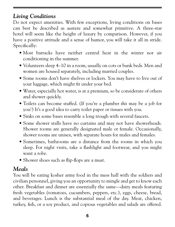# *Living Conditions*

Do not expect amenities. With few exceptions, living conditions on bases can best be described as austere and somewhat primitive. A three-star hotel will seem like the height of luxury by comparison. However, if you have a positive attitude and a sense of humor, you will take it all in stride. Specifically:

- Most barracks have neither central heat in the winter nor air conditioning in the summer.
- Volunteers sleep 4–10 in a room, usually on cots or bunk beds. Men and women are housed separately, including married couples.
- Some rooms don't have shelves or lockers. You may have to live out of your luggage, which might fit under your bed.
- Water, especially hot water, is at a premium, so be considerate of others and shower quickly.
- Toilets can become stuffed. (If you're a plumber *this* may be a job for you!) It's a good idea to carry toilet paper or tissues with you.
- Sinks on some bases resemble a long trough with several faucets.
- Some shower stalls have no curtains and may not have showerheads. Shower rooms are generally designated male or female. Occasionally, shower rooms are unisex, with separate hours for males and females.
- Sometimes, bathrooms are a distance from the rooms in which you sleep. For night visits, take a flashlight and footwear, and you might want a robe.
- Shower shoes such as flip-flops are a must.

## *Meals*

You will be eating kosher army food in the mess hall with the soldiers and civilian personnel, giving you an opportunity to mingle and get to know each other. Breakfast and dinner are essentially the same—dairy meals featuring fresh vegetables (tomatoes, cucumbers, peppers, etc.), eggs, cheese, bread, and beverages. Lunch is the substantial meal of the day. Meat, chicken, turkey, fish, or a soy product, and copious vegetables and salads are offered.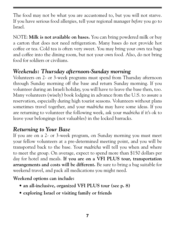The food may not be what you are accustomed to, but you will not starve. If you have serious food allergies, tell your regional manager *before* you go to Israel.

NOTE: **Milk is not available on bases.** You can bring powdered milk or buy a carton that does not need refrigeration. Many bases do not provide hot coffee or tea. Cold tea is often very sweet. You may bring your own tea bags and coffee into the dining room, but not your own food. Also, do not bring food for soldiers or civilians.

# *Weekends: Thursday afternoon-Sunday morning*

Volunteers on 2- or 3-week programs must spend from Thursday afternoon through Sunday morning off the base and return Sunday morning. If you volunteer during an Israeli holiday, you will have to leave the base then, too. Many volunteers (wisely) book lodging in advance from the U.S. to assure a reservation, especially during high tourist seasons. Volunteers without plans sometimes travel together, and your *madricha* may have some ideas. If you are returning to volunteer the following week, ask your *madricha* if it's ok to leave your belongings (not valuables) in the locked barracks.

## *Returning to Your Base*

If you are on a 2- or 3-week program, on Sunday morning you must meet your fellow volunteers at a pre-determined meeting point, and you will be transported back to the base. Your *madricha* will tell you when and where to meet the group. On average, expect to spend more than \$150 dollars per day for hotel and meals. **If you are on a VFI PLUS tour, transportation arrangements and costs will be different.** Be sure to bring a bag suitable for weekend travel, and pack all medications you might need.

**Weekend options can include:**

- **an all-inclusive, organized VFI PLUS tour (see p. 8)**
- **exploring Israel or visiting family or friends**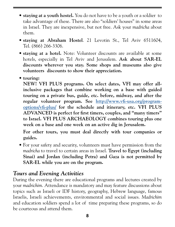- **staying at a youth hostel.** You do not have to be a youth or a soldier to take advantage of these. There are also "soldiers' houses" in some areas in Israel. They are inexpensive, but not free. Ask your *madricha* about them.
- **staying at Abraham Hostel**. 21 Levotin St., Tel Aviv 6511604, Tel. (866) 266-3306.
- **staying at a hotel.** Note: Volunteer discounts are available at some hotels, especially in Tel Aviv and Jerusalem. **Ask about SAR-EL discounts wherever you stay. Some shops and museums also give volunteers discounts to show their appreciation.**
- **touring:**

 **NEW! VFI PLUS programs. On select dates, VFI may offer allinclusive packages that combine working on a base with guided touring on a private bus, guide, etc. before, midway, and after the regular volunteer program. See [http://www.vfi-usa.org/program](http://www.vfi-usa.org/program-options/vfi-plus/)[options/vfi-plus/](http://www.vfi-usa.org/program-options/vfi-plus/) for the schedule and itinerary, etc. VFI PLUS ADVANCED is perfect for first timers, couples, and "many timers" to Israel. VFI PLUS ARCHAEOLOGY combines touring plus one week on a base and one week on an active dig in Jerusalem.**

 **For other tours, you must deal directly with tour companies or guides.** 

• For your safety and security, volunteers must have permission from the *madricha* to travel to certain areas in Israel. **Travel to Egypt (including Sinai) and Jordan (including Petra) and Gaza is not permitted by SAR-EL while you are on the program.**

## *Tours and Evening Activities*

During the evening there are educational programs and lectures created by your *madrichim*. Attendance is mandatory and may feature discussions about topics such as Israeli or IDF history, geography, Hebrew language, famous Israelis, Israeli achievements, environmental and social issues. *Madrichim* and education soldiers spend a lot of time preparing these programs, so do be courteous and attend them.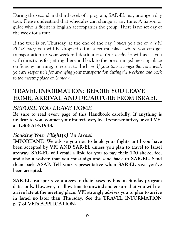During the second and third week of a program, SAR-EL may arrange a day tour. Please understand that schedules can change at any time. A liaison or guide who is fluent in English accompanies the group. There is no set day of the week for a tour.

If the tour is on Thursday, at the end of the day *(unless you are on a VFI PLUS tour)* you will be dropped off at a central place where you can get transportation to your weekend destination. Your *madricha* will assist you with directions for getting there and back to the pre-arranged meeting place on Sunday morning, to return to the base. *If your tour is longer than one week you are responsible for arranging your transportation during the weekend and back to the meeting place on Sunday.* 

# **TRAVEL INFORMATION: BEFORE YOU LEAVE HOME, ARRIVAL AND DEPARTURE FROM ISRAEL**

## *BEFORE YOU LEAVE HOME*

**Be sure to read every page of this Handbook carefully. If anything is unclear to you, contact your interviewer, local representative, or call VFI at 1.866.514.1948.**

## *Booking Your Flight(s) To Israel*

**IMPORTANT: We advise you not to book your flights until you have been accepted by VFI AND SAR-EL unless you plan to travel to Israel anyway. SAR-EL will email a link for you to pay their 100 shekel fee, and also a waiver that you must sign and send back to SAR-EL. Send them back ASAP. Tell your representative when SAR-EL says you've been accepted.**

**SAR-EL transports volunteers to their bases by bus on Sunday program dates only. However, to allow time to unwind and ensure that you will not arrive late at the meeting place, VFI strongly advises you to plan to arrive in Israel no later than Thursday. See the TRAVEL INFORMATION p. 7 of VFI's APPLICATION.**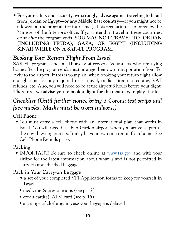• **For your safety and security, we strongly advise against traveling to Israel from Jordan or Egypt—or any Middle East country**—or you might not be allowed on the program (or into Israel). This regulation is enforced by the Minister of the Interior's office. If you intend to travel in these countries, do so *after* the program ends. **YOU MAY NOT TRAVEL TO JORDAN (INCLUDING PETRA), GAZA, OR EGYPT (INCLUDING SINAI) WHILE ON A SAR-EL PROGRAM.**

## *Booking Your Return Flight From Israel*

SAR-EL programs end on Thursday afternoon. Volunteers who are flying home after the program ends must arrange their own transportation from Tel Aviv to the airport. If this is your plan, when booking your return flight allow enough time for any required tests, travel, traffic, airport screening, VAT refunds, etc. Also, you will need to be at the airport 3 hours before your flight. **Therefore, we advise you to book a flight for the next day, to play it safe**.

# *Checklist (Until further notice bring 3 Corona test strips and face masks. Masks must be worn indoors.)*

## **Cell Phone**

• You must carry a cell phone with an international plan that works in Israel. You will need it at Ben-Gurion airport when you arrive as part of the covid testing process. It may be your own or a rental from home. See Cell Phone Rentals p. 16.

#### **Packing**

• IMPORTANT: Be sure to check online at [www.tsa.gov](http://www.tsa.gov) and with your airline for the latest information about what is and is not permitted in carry-on and checked baggage.

#### **Pack in Your Carry-on Luggage**

- a set of your completed VFI Application forms to keep for yourself in Israel.
- medicine & prescriptions (see p. 12)
- credit card(s), ATM card (see p. 15)
- a change of clothing, in case your luggage is delayed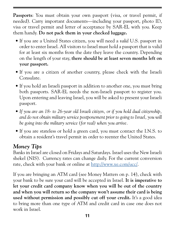Passports: You must obtain your own passport (visa, or travel permit, if needed). Carry important documents—including your passport, photo ID, visa or travel permit and letter of acceptance by SAR-EL with you. Keep them handy. **Do not pack them in your checked luggage.**

- If you are a United States citizen, you will need a *valid* U.S. passport in order to enter Israel. All visitors to Israel must hold a passport that is valid for at least six months from the date they leave the country. Depending on the length of your stay, **there should be at least seven months left on your passport.**
- If you are a citizen of another country, please check with the Israeli Consulate.
- If you hold an Israeli passport in addition to another one, you must bring both passports. SAR-EL needs the non-Israeli passport to register you. Upon entering and leaving Israel, you will be asked to present your Israeli passport.
- *If you are an 18- to 26-year old Israeli citizen, or if you hold dual citizenship, and do not obtain military service postponement prior to going to Israel, you will be going into the military service (for real) when you arrive.*
- If you are stateless or hold a green card, you must contact the I.N.S. to obtain a resident's travel permit in order to reenter the United States.

# *Money Tips*

Banks in Israel are closed on Fridays and Saturdays. Israel uses the New Israeli shekel (NIS). Currency rates can change daily. For the current conversion rate, check with your bank or online at [http://www.xe.com/ucc/.](http://www.xe.com/ucc/)

If you are bringing an ATM card (see Money Matters on p. 14), check with your bank to be sure your card will be accepted in Israel. **It is imperative to let your credit card company know when you will be out of the country and when you will return so the company won't assume their card is being used without permission and possibly cut off your credit.** It's a good idea to bring more than one type of ATM and credit card in case one does not work in Israel.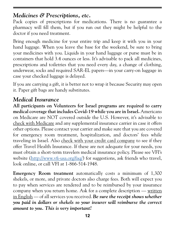#### *Medicines & Prescriptions, etc.*

Pack copies of prescriptions for medications. There is no guarantee a pharmacy will fill them, but if you run out they might be helpful to the doctor if you need treatment.

Bring enough medicine for your entire trip and keep it with you in your hand luggage. When you leave the base for the weekend, be sure to bring your medicines with you. Liquids in your hand luggage or purse must be in containers that hold 3.4 ounces or less. It's advisable to pack all medicines, prescriptions and toiletries that you need every day, a change of clothing, underwear, socks and required SAR-EL papers—in your carry-on luggage in case your checked luggage is delayed.

If you are carrying a gift, it is better not to wrap it because Security may open it. Paper gift bags are handy substitutes.

## *Medical Insurance*

**All participants on Volunteers for Israel programs are required to carry medical coverage that includes Covid-19 while you are in Israel.** Americans on Medicare are NOT covered outside the U.S. However, it's advisable to check with Medicare and any supplemental insurance carrier in case it offers other options. Please contact your carrier and make sure that you are covered for emergency room treatment, hospitalization, and doctors' fees while traveling in Israel. Also check with your credit card company to see if they offer Travel Health Insurance. If these are not adequate for your needs, you must obtain a short-term travelers medical insurance policy. Please see VFI's website ([http://www.vfi-usa.org/faq/\)](http://www.vfi-usa.org/faq/) for suggestions, ask friends who travel, look online, or call VFI at 1-866-514-1948.

**Emergency Room treatment** automatically costs a minimum of 1,300 shekels, or more, and private doctors also charge fees. Both will expect you to pay when services are rendered and to be reimbursed by your insurance company when you return home. Ask for a complete description — written in English — of all services you received. *Be sure the receipt shows whether you paid in dollars or shekels so your insurer will reimburse the correct amount to you. This is very important!*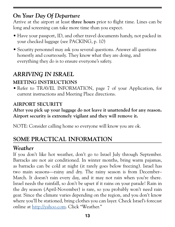# *On Your Day Of Departure*

Arrive at the airport at least **three hours** prior to flight time. Lines can be long and screening can take more time than you expect.

- Have your passport, ID, and other travel documents handy, not packed in your checked luggage (see PACKING, p. 10)
- Security personnel may ask you several questions. Answer all questions honestly and courteously. They know what they are doing, and everything they do is to ensure everyone's safety.

# *ARRIVING IN ISRAEL*

#### **MEETING INSTRUCTIONS**

• Refer to TRAVEL INFORMATION, page 7 of your Application, for current instructions and Meeting Place directions.

#### **AIRPORT SECURITY**

**After you pick up your luggage do not leave it unattended for any reason. Airport security is extremely vigilant and they will remove it.**

NOTE: Consider calling home so everyone will know you are ok.

# **SOME PRACTICAL INFORMATION**

## *Weather*

If you don't like hot weather, don't go to Israel July through September. Barracks are not air conditioned. In winter months, bring warm pajamas, as barracks can be cold at night (it rarely goes below freezing). Israel has two main seasons—rainy and dry. The rainy season is from December– March. It doesn't rain every day, and it may not rain when you're there. Israel needs the rainfall, so don't be upset if it rains on your parade! Rain in the dry season (April-November) is rare, so you probably won't need rain gear. Since the climate varies depending on the region, and you don't know where you'll be stationed, bring clothes you can layer. Check Israel's forecast online at <http://yahoo.com>. Click "Weather."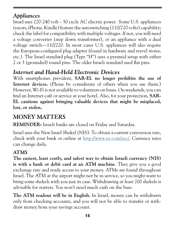# *Appliances*

Israel uses 220-240 volt – 50 cycle AC electric power. Some U.S. appliances (razors, iPhone, Kindle) feature the autoswitching (110/220 volts) capability; check the label for compatibility with multiple voltages. If not, you will need a voltage converter (step down transformer), or an appliance with a dual voltage switch—110/220. In most cases U.S. appliances will also require the European-configured plug adapter (found in hardware and travel stores, etc.). The Israel standard plug (Type "H") uses a pyramid setup with either 2 or 3 (grounded) round pins. The older Israeli standard used flat pins.

# *Internet and Hand-Held Electronic Devices*

With smartphones prevalent, **SAR-EL no longer prohibits the use of Internet devices.** (Please be considerate of others when you use them.) However, Wi-Fi is not available to volunteers on bases. On weekends, you can find an Internet café or service at your hotel. Also, for your protection, **SAR-EL cautions against bringing valuable devices that might be misplaced, lost, or stolen.** 

# *MONEY MATTERS*

**REMINDER:** Israeli banks are closed on Friday and Saturday.

Israel uses the New Israel Shekel (NIS). To obtain a current conversion rate, check with your bank or online at <http://www.xe.com/ucc/>. Currency rates can change daily.

#### *ATMS*

**The easiest, least costly, and safest way to obtain Israeli currency (NIS) is with a bank or debit card at an ATM machine**. They give you a good exchange rate and ready access to your money. ATMs are found throughout Israel. The ATM at the airport might not be in service, so you might want to bring some shekels with you just in case. Withdrawing at least 200 shekels is advisable for starters. You won't need much cash on the base.

**The ATM readout will be in English.** In Israel, money can be withdrawn only from checking accounts, and you will not be able to transfer or withdraw money from your savings account.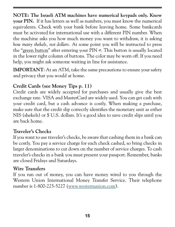**NOTE: The Israeli ATM machines have numerical keypads only. Know your PIN.** If it has letters as well as numbers, you must know the numerical equivalents. Check with your bank before leaving home. Some bankcards must be activated for international use with a different PIN number. When the machine asks you how much money you want to withdraw, it is asking *how many shekels, not dollars.* At some point you will be instructed to press the "green button" after entering your PIN #. This button is usually located in the lower right column of buttons. The color may be worn off. If you need help, you might ask someone waiting in line for assistance.

**IMPORTANT**: At an ATM, take the same precautions to ensure your safety and privacy that you would at home.

#### **Credit Cards (see Money Tips p. 11)**

Credit cards are widely accepted for purchases and usually give the best exchange rate. VISA and MasterCard are widely used. You can get cash with your credit card, but a cash advance is costly. When making a purchase, make sure that the credit slip correctly identifies the monetary unit as either NIS (shekels) or \$ U.S. dollars. It's a good idea to save credit slips until you are back home.

#### **Traveler's Checks**

If you want to use traveler's checks, be aware that cashing them in a bank can be costly. You pay a service charge for each check cashed, so bring checks in larger denominations to cut down on the number of service charges. To cash traveler's checks in a bank you must present your passport. Remember, banks are closed Fridays and Saturdays.

#### **Wire Transfers**

If you run out of money, you can have money wired to you through the Western Union International Money Transfer Service. Their telephone number is 1-800-225-5227 ([www.westernunion.com](http://www.westernunion.com)).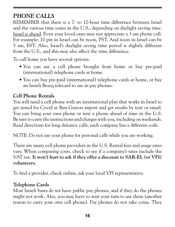# *PHONE CALLS*

REMEMBER that there is a 7- to 10-hour time difference between Israel and the various time zones in the U.S., depending on daylight saving time. Israel is ahead. Even your loved ones may not appreciate a 3 am phone call. For example: 10 pm in Israel can be noon, PST. And noon in Israel can be 5 am, EST. Also, Israel's daylight saving time period is slightly different from the U.S., and this may also affect the time difference.

To call home you have several options:

- You can use a cell phone brought from home or buy pre-paid (international) telephone cards at home.
- You can buy pre-paid (international) telephone cards at home, or buy an Israeli Bezeq telecard to use in pay phones.

#### **Cell Phone Rentals**

You will need a cell phone with an international plan that works in Israel to get tested for Covid at Ben-Gurion airport and get results by text or email. You can bring your own phone or rent a phone ahead of time in the U.S. Be sure to carry the instructions and charger with you, including on weekends. Read directions for long distance calls; each company has a different code.

NOTE: Do not use your phone for personal calls while you are working.

There are many cell phone providers in the U.S. Rental fees and usage rates vary. When comparing costs, check to see if a company's rates include the VAT tax. **It won't hurt to ask if they offer a discount to SAR-EL (or VFI) volunteers.**

To find a provider, check online, ask your local VFI representative.

#### **Telephone Cards**

Most Israeli bases *do not* have public pay phones, and if they do the phones might not work. Also, you may have to wait your turn to use them (another reason to carry your own cell phone). Pay phones do not take coins. They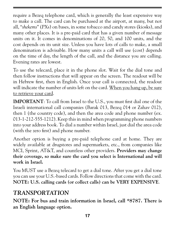require a Bezeq telephone card, which is generally the least expensive way to make a call. The card can be purchased at the airport, at many, but not all, "*shekems*" (PXs) on bases, in some tobacco and candy stores (kiosks), and many other places. It is a pre-paid card that has a given number of message units on it. It comes in denominations of 20, 50, and 100 units, and the cost depends on its unit size. Unless you have lots of calls to make, a small denomination is advisable. How many units a call will use (cost) depends on the time of day, the length of the call, and the distance you are calling. Evening rates are lowest.

To use the telecard, place it in the phone slot. Wait for the dial tone and then follow instructions that will appear on the screen. The readout will be in Hebrew first, then in English. Once your call is connected, the readout will indicate the number of units left on the card. When you hang up, be sure to retrieve your card.

**IMPORTANT**: To call from Israel to the U.S., you must first dial one of the Israeli international call companies (Barak 013, Bezeq 014 or Zahav 012), then 1 (the country code), and then the area code and phone number (ex. 013-1-212-555-1212). Keep this in mind when programming phone numbers into your address book. To dial a number within Israel, just dial the area code (with the zero first) and phone number.

Another option is buying a pre-paid telephone card at home. They are widely available at drugstores and supermarkets, etc., from companies like MCI, Sprint, AT&T, and countless other providers. **Providers may change their coverage, so make sure the card you select is International and will work in Israel.**

You MUST use a Bezeq telecard to get a dial tone. After you get a dial tone you can use your U.S.-based cards. Follow directions that come with the card. **NOTE: U.S. calling cards (or collect calls) can be VERY EXPENSIVE**.

# *TRANSPORTATION*

**NOTE: For bus and train information in Israel, call \*8787. There is an English language option.**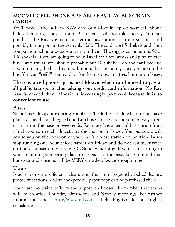#### **MOOVIT CELL PHONE APP AND RAV CAV BUS/TRAIN CARDS**

You'll need either a RAV KAV card or a Moovit app on your cell phone before boarding a bus or train. Bus drivers will not take money. You can purchase the Rav Kav cards at central bus stations or train stations, and possibly the airport in the Arrivals Hall. The cards cost 5 shekels and then you put as much money as you want on them. The suggested amount is 50 or 100 shekels. If you are going to be in Israel for a few weeks and plan to take buses and trains, you should probably put 100 shekels on the card because if you run out, the bus drivers will not add more money once you are on the bus. You can "refill" your cards at kiosks in stores in cities, but not on buses.

**There is a cell phone app named Moovit which can be used to pay at all public transports after adding your credit card information. No Rav Kav is needed then. Moovit is increasingly preferred because it is so convenient to use.**

#### **Buses**

Some buses do operate during Shabbat. Check the schedule before you make plans to travel. Israeli Egged and Dan buses are a very convenient way to get to and from the base on weekends. Each city has a central bus station from which you can reach almost any destination in Israel. Your *madricha* will advise you on the location of your base's closest station or junction. Buses stop running one hour before sunset on Friday and do not resume service until after sunset on Saturday. On Sunday morning, if you are returning to your pre-arranged meeting place to go back to the base, keep in mind that bus stops and stations will be VERY crowded. Leave enough time!

#### **Trains**

Israel's trains are efficient, clean, and they run frequently. Schedules are posted at stations, and an inexpensive paper copy can be purchased there.

There are no trains to/from the airport on Fridays. Remember that trains will be crowded Thursday afternoons and Sunday mornings. For further information, check [http://www.rail.co.il.](http://www.rail.co.il) Click "English" for an English translation.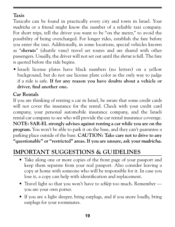#### **Taxis**

Taxicabs can be found in practically every city and town in Israel. Your *madricha* or a friend might know the number of a reliable taxi company. For short trips, tell the driver you want to be "on the meter," to avoid the possibility of being overcharged. For longer rides, establish the fare before you enter the taxi. Additionally, in some locations, special vehicles known as "*sheruts*" (shuttle vans) travel set routes and are shared with other passengers. Usually, the driver will not set out until the *sherut* is full. The fare is quoted before the ride begins.

• Israeli license plates have black numbers (no letters) on a yellow background, but do not use license plate color as the only way to judge if a ride is safe. **If for any reason you have doubts about a vehicle or driver, find another one.**

#### **Car Rentals**

If you are thinking of renting a car in Israel, be aware that some credit cards will not cover the insurance for the rental. Check with your credit card company, your personal automobile insurance company, and the Israeli rental car company to see who will provide the car rental insurance coverage. **NOTE: SAR-EL strongly advises against renting a car while you are on the program.** You won't be able to park it on the base, and they can't guarantee a parking place outside of the base. **CAUTION: Take care not to drive to any "questionable" or "restricted" areas. If you are unsure, ask your** *madricha***.**

# **IMPORTANT SUGGESTIONS & GUIDELINES**

- Take along one or more copies of the front page of your passport and keep them separate from your real passport. Also consider leaving a copy at home with someone who will be responsible for it. In case you lose it, a copy can help with identification and replacement.
- Travel light so that you won't have to *schlep* too much. Remember you are your own porter.
- If you are a light sleeper, bring earplugs, and if you snore loudly, bring earplugs for your roommates.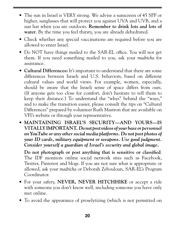- The sun in Israel is VERY strong. We advise a sunscreen of 45 SPF or higher, sunglasses that will protect you against UVA and UVB, and a sun hat when you are outdoors. **Remember to drink lots and lots of water**. By the time you feel thirsty, you are already dehydrated.
- Check whether any special vaccinations are required before you are allowed to enter Israel.
- Do NOT have things mailed to the SAR-EL office. You will not get them. If you need something mailed to you, ask your *madricha* for assistance.
- **Cultural Differences:** It's important to understand that there are some differences between Israeli and U.S. behaviors, based on different cultural values and world views. For example, women, especially, should be aware that the Israeli sense of space differs from ours. (If anyone gets too close for comfort, don't hesitate to tell them to keep their distance.) To understand the "whys" behind the "ways," and to make the transition easier, please consult the tips on "Cultural Differences" prepared by volunteer Ruth Mastron that are available on VFI's website or through your representative.
- **MAINTAINING ISRAEL'S SECURITY—AND YOURS—IS VITALLY IMPORTANT.** *Do not post videos of your base or personnel on YouTube or any other social media platforms. Do not post photos of your ID cards, military equipment or weapons. Use good judgment. Consider yourself a guardian of Israel's security and global image.*

**Do not photograph or post anything that is sensitive or classified**. The IDF monitors online social network sites such as Facebook, Twitter, Pinterest and blogs. If you are not sure what is appropriate or allowed, ask your *madricha* or Deborah Zebouloun, SAR-EL's Program Coordinator.

- For your safety, **NEVER, NEVER HITCHHIKE** or accept a ride with someone you don't know well, including someone you have only met online.
- To avoid the appearance of proselytizing (which is not permitted on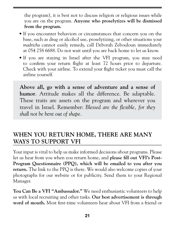the program), it is best not to discuss religion or religious issues while you are on the program. **Anyone who proselytizes will be dismissed from the program.** 

- If you encounter behaviors or circumstances that concern you on the base, such as drug or alcohol use, proselytizing, or other situations your *madricha* cannot easily remedy, call Deborah Zebouloun immediately at 054 258 6688. Do not wait until you are back home to let us know.
- If you are staying in Israel after the VFI program, you may need to confirm your return flight at least 72 hours prior to departure. Check with your airline. To extend your flight ticket you must call the airline yourself.

**Above all, go with a sense of adventure and a sense of humor**. Attitude makes all the difference. Be adaptable. These traits are assets on the program and wherever you travel in Israel. Remember: *Blessed are the flexible, for they shall not be bent out of shape.* 

# **WHEN YOU RETURN HOME, THERE ARE MANY WAYS TO SUPPORT VFI**

Your input is vital to help us make informed decisions about programs. Please let us hear from you when you return home, and **please fill out VFI's Post-Program Questionnaire (PPQ), which will be emailed to you after you return.** The link to the PPQ is there. We would also welcome copies of your photographs for our website or for publicity. Send them to your Regional Manager.

**You Can Be a VFI "Ambassador."** We need enthusiastic volunteers to help us with local recruiting and other tasks. **Our best advertisement is through word of mouth.** Most first-time volunteers hear about VFI from a friend or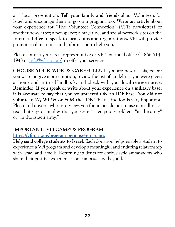at a local presentation. **Tell your family and friends** about Volunteers for Israel and encourage them to go on a program too. **Write an articl**e about your experience for "The Volunteer Connection" (VFI's newsletter) or another newsletter; a newspaper; a magazine; and social network sites on the Internet. **Offer to speak to local clubs and organizations.** VFI will provide promotional materials and information to help you.

Please contact your local representative or VFI's national office (1-866-514-1948 or [info@vfi-usa.org](mailto:info%40vfi-usa.org?subject=)) to offer your services.

**CHOOSE YOUR WORDS CAREFULLY.** If you are new at this, before you write or give a presentation, review the list of guidelines you were given at home and in this Handbook, and check with your local representative. **Reminder: If you speak or write about your experience on a military base, it is accurate to say that you volunteered** *ON* **an IDF base. You did not volunteer** *IN, WITH* **or** *FOR* **the IDF.** The distinction is very important. Please tell anyone who interviews you for an article not to use a headline or text that says or implies that you were "a temporary soldier," "in the army" or "in the Israeli army."

#### **IMPORTANT! VFI CAMPUS PROGRAM**

#### **<https://vfi-usa.org/program-options/#program2>**

**Help send college students to Israel.** Each donation helps enable a student to experience a VFI program and develop a meaningful and enduring relationship with Israel and Israelis. Returning students are enthusiastic ambassadors who share their positive experiences on campus... and beyond.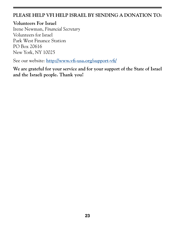#### **PLEASE HELP VFI HELP ISRAEL BY SENDING A DONATION TO:**

**Volunteers For Israel** Irene Newman, *Financial Secretary* Volunteers for Israel Park West Finance Station PO Box 20616 New York, NY 10025

See our website: **<http://www.vfi-usa.org/support-vfi/>**

**We are grateful for your service and for your support of the State of Israel and the Israeli people. Thank you!**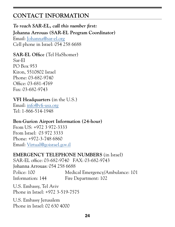# **CONTACT INFORMATION**

#### *To reach SAR-EL, call this number first:* **Johanna Arrouas (SAR-EL Program Coordinator)**  Email: Johann[a@sar-el.org](mailto:deborahz%40sar-el.org?subject=) Cell phone in Israel: 054 258 6688

#### **SAR-EL Office** (Tel HaShomer) Sar-El PO Box 953 Kiron, 5510802 Israel Phone: 03-682-9740 Office: 03-681-4769 Fax: 03-682-9743

#### **VFI Headquarters** (in the U.S.)

Email: [info@vfi-usa.org](mailto:info%40vfi-usa.org?subject=) Tel: 1-866-514-1948

#### **Ben-Gurion Airport Information (24-hour)**

From US: +972 3 972-3333 From Israel: 03 972 3333 Phone: +972-3-748 6860 Email: [Virtual@goisrael.gov.il](mailto:Virtual%40goisrael.gov.il?subject=)

#### **EMERGENCY TELEPHONE NUMBERS** (in Israel)

SAR-EL office: 03-682-9740 FAX: 03-682-9743 Johanna Arrouas: 054 258 6688 Police: 100 Medical Emergency/Ambulance: 101 Information: 144 Fire Department: 102

U.S. Embassy, Tel Aviv Phone in Israel: +972 3-519-7575

U.S. Embassy Jerusalem Phone in Israel: 02 630 4000